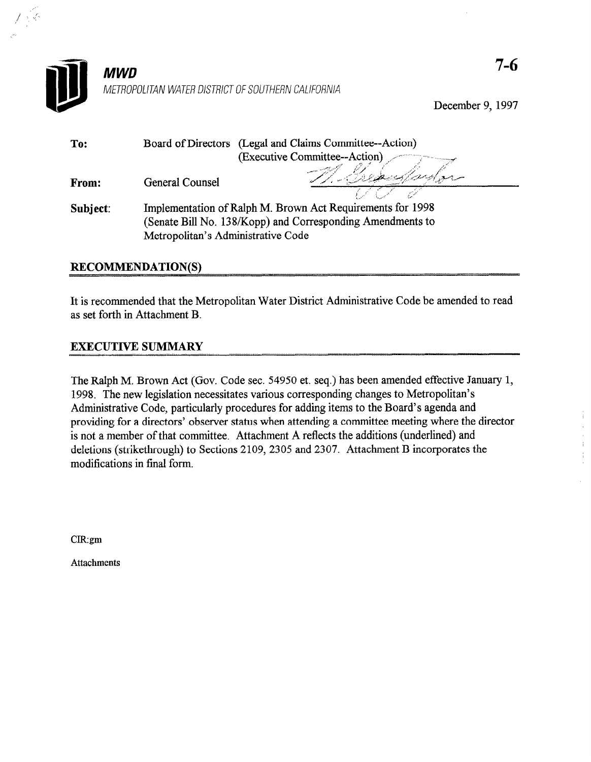

**MWD** METROPOLITAN WATER DISTRICT OF SOUTHERN CALIFORNIA

December 9, 1997

| To:          |                                                            | Board of Directors (Legal and Claims Committee--Action) |
|--------------|------------------------------------------------------------|---------------------------------------------------------|
|              |                                                            | (Executive Committee--Action)                           |
| <b>From:</b> | <b>General Counsel</b>                                     |                                                         |
|              |                                                            |                                                         |
| Subject:     | Implementation of Ralph M. Brown Act Requirements for 1998 |                                                         |
|              | (Senate Bill No. 138/Kopp) and Corresponding Amendments to |                                                         |
|              | Metropolitan's Administrative Code                         |                                                         |

# RECOMMENDATION(S)

It is recommended that the Metropolitan Water District Administrative Code be amended to read as set forth in Attachment B.

# EXECUTIVE SUMMARY

The Ralph M. Brown Act (Gov. Code sec. 54950 et. seq.) has been amended effective January 1, 1998. The new legislation necessitates various corresponding changes to Metropolitan's Administrative Control of the Control of a control procedures for a state of the Board's agents of the Board's agents of the Board's agents of the Board's agents of the Board's agents of the Board's agents of the Board's a Administrative Coue, particularly procedures for adding from to the Doard's agenda and providing for a directors observer status when attending a committee incernig where the  $\alpha$  deletions (strikethermining  $\alpha$ ) to  $\alpha$  incorporate the additions (underlined) and  $\alpha$ deletions (strikethrough) to Sections 2109, 2305 and 2307. Attachment B incorporates the modifications in final form.

 $CIR:gm$ 

**Attachments** 

 $\hat{\boldsymbol{\theta}}$  $\hat{\boldsymbol{\theta}}$  $\hat{\mathbf{r}}$ ÷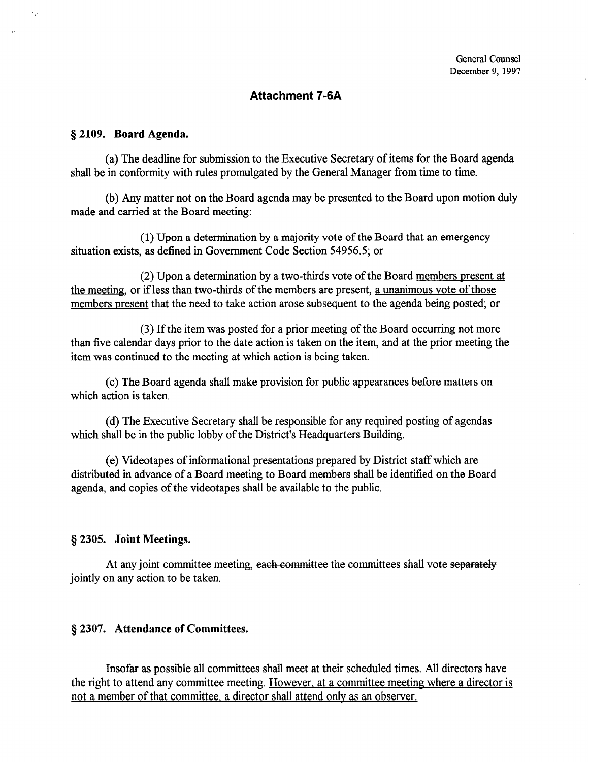## Attachment 7-6A

#### § 2109. Board Agenda.

(a) The deadline for submission to the Executive Secretary of items for the Board agenda shall be in conformity with rules promulgated by the General Manager from time to time.

(b) Any matter not on the Board agenda may be presented to the Board upon motion duly made and carried at the Board meeting:

(1) Upon a determination by a majority vote of the Board that an emergency situation exists, as defined in Government Code Section 54956.5; or

(2) Upon a determination by a two-thirds vote of the Board members present at the meeting, or if less than two-thirds of the members are present, a unanimous vote of those members present that the need to take action arose subsequent to the agenda being posted; or

(3) If the item was posted for a prior meeting of the Board occurring not more than five calendar days prior to the date action is taken on the item, and at the prior meeting the item was continued to the meeting at which action is being taken.

(c) The Board agenda shall make provision for public appearances before matters on which action is taken.

(d) The Executive Secretary shall be responsible for any required posting of agendas which shall be in the public lobby of the District's Headquarters Building.

(e) Videotapes of informational presentations prepared by District staff which are distributed in advance of a Board meeting to Board members shall be identified on the Board agenda, and copies of the videotapes shall be available to the public.

## 5 2305. Joint Meetings.

At any joint committee meeting, each committee the committees shall vote separately jointly on any action to be taken.

## § 2307. Attendance of Committees.

Insofar as possible all committees shall meet at their scheduled times. All directors have the right to attend any committee meeting. However, at a committee meeting where a director is not a member of that committee. a director shall attend onlv as an observer.